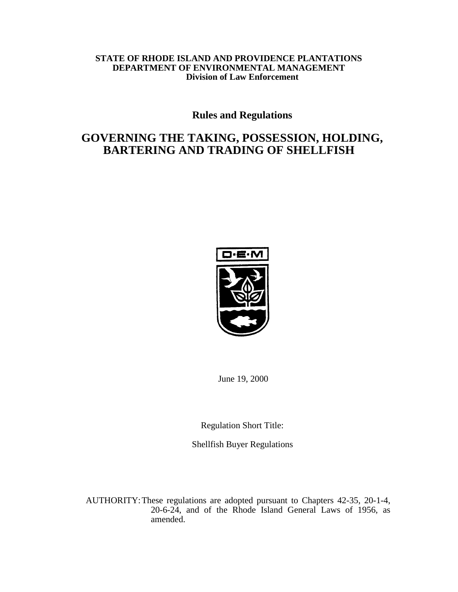# **STATE OF RHODE ISLAND AND PROVIDENCE PLANTATIONS DEPARTMENT OF ENVIRONMENTAL MANAGEMENT Division of Law Enforcement**

# **Rules and Regulations**

# **GOVERNING THE TAKING, POSSESSION, HOLDING, BARTERING AND TRADING OF SHELLFISH**



June 19, 2000

Regulation Short Title:

Shellfish Buyer Regulations

AUTHORITY:These regulations are adopted pursuant to Chapters 42-35, 20-1-4, 20-6-24, and of the Rhode Island General Laws of 1956, as amended.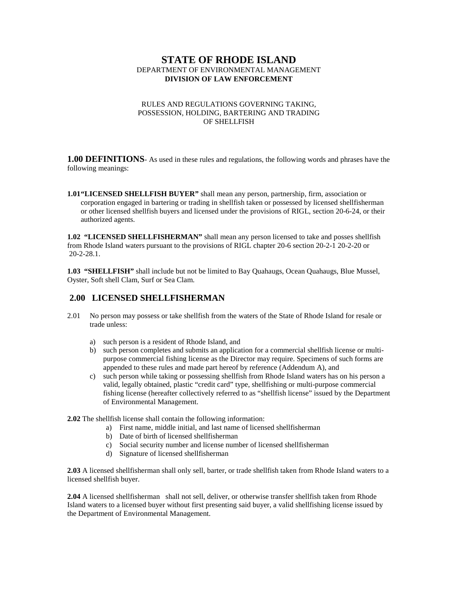# **STATE OF RHODE ISLAND** DEPARTMENT OF ENVIRONMENTAL MANAGEMENT **DIVISION OF LAW ENFORCEMENT**

#### RULES AND REGULATIONS GOVERNING TAKING, POSSESSION, HOLDING, BARTERING AND TRADING OF SHELLFISH

**1.00 DEFINITIONS**- As used in these rules and regulations, the following words and phrases have the following meanings:

**1.01"LICENSED SHELLFISH BUYER"** shall mean any person, partnership, firm, association or corporation engaged in bartering or trading in shellfish taken or possessed by licensed shellfisherman or other licensed shellfish buyers and licensed under the provisions of RIGL, section 20-6-24, or their authorized agents.

**1.02 "LICENSED SHELLFISHERMAN"** shall mean any person licensed to take and posses shellfish from Rhode Island waters pursuant to the provisions of RIGL chapter 20-6 section 20-2-1 20-2-20 or 20-2-28.1.

**1.03 "SHELLFISH"** shall include but not be limited to Bay Quahaugs, Ocean Quahaugs, Blue Mussel, Oyster, Soft shell Clam, Surf or Sea Clam.

# **2.00 LICENSED SHELLFISHERMAN**

- 2.01 No person may possess or take shellfish from the waters of the State of Rhode Island for resale or trade unless:
	- a) such person is a resident of Rhode Island, and
	- b) such person completes and submits an application for a commercial shellfish license or multipurpose commercial fishing license as the Director may require. Specimens of such forms are appended to these rules and made part hereof by reference (Addendum A), and
	- c) such person while taking or possessing shellfish from Rhode Island waters has on his person a valid, legally obtained, plastic "credit card" type, shellfishing or multi-purpose commercial fishing license (hereafter collectively referred to as "shellfish license" issued by the Department of Environmental Management.
- **2.02** The shellfish license shall contain the following information:
	- a) First name, middle initial, and last name of licensed shellfisherman
	- b) Date of birth of licensed shellfisherman
	- c) Social security number and license number of licensed shellfisherman
	- d) Signature of licensed shellfisherman

**2.03** A licensed shellfisherman shall only sell, barter, or trade shellfish taken from Rhode Island waters to a licensed shellfish buyer.

**2.04** A licensed shellfisherman shall not sell, deliver, or otherwise transfer shellfish taken from Rhode Island waters to a licensed buyer without first presenting said buyer, a valid shellfishing license issued by the Department of Environmental Management.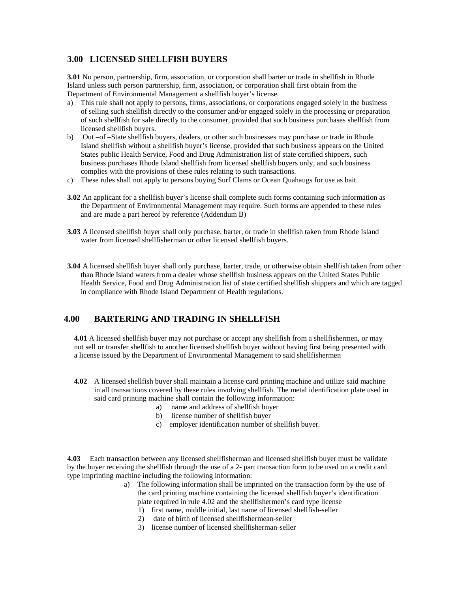# **3.00 LICENSED SHELLFISH BUYERS**

**3.01** No person, partnership, firm, association, or corporation shall barter or trade in shellfish in Rhode Island unless such person partnership, firm, association, or corporation shall first obtain from the Department of Environmental Management a shellfish buyer's license.

- a) This rule shall not apply to persons, firms, associations, or corporations engaged solely in the business of selling such shellfish directly to the consumer and/or engaged solely in the processing or preparation of such shellfish for sale directly to the consumer, provided that such business purchases shellfish from licensed shellfish buyers.
- b) Out –of –State shellfish buyers, dealers, or other such businesses may purchase or trade in Rhode Island shellfish without a shellfish buyer's license, provided that such business appears on the United States public Health Service, Food and Drug Administration list of state certified shippers, such business purchases Rhode Island shellfish from licensed shellfish buyers only, and such business complies with the provisions of these rules relating to such transactions.
- c) These rules shall not apply to persons buying Surf Clams or Ocean Quahaugs for use as bait.
- **3.02** An applicant for a shellfish buyer's license shall complete such forms containing such information as the Department of Environmental Management may require. Such forms are appended to these rules and are made a part hereof by reference (Addendum B)
- **3.03** A licensed shellfish buyer shall only purchase, barter, or trade in shellfish taken from Rhode Island water from licensed shellfisherman or other licensed shellfish buyers.
- **3.04** A licensed shellfish buyer shall only purchase, barter, trade, or otherwise obtain shellfish taken from other than Rhode Island waters from a dealer whose shellfish business appears on the United States Public Health Service, Food and Drug Administration list of state certified shellfish shippers and which are tagged in compliance with Rhode Island Department of Health regulations.

# **4.00 BARTERING AND TRADING IN SHELLFISH**

**4.01** A licensed shellfish buyer may not purchase or accept any shellfish from a shellfishermen, or may not sell or transfer shellfish to another licensed shellfish buyer without having first being presented with a license issued by the Department of Environmental Management to said shellfishermen

- **4.02** A licensed shellfish buyer shall maintain a license card printing machine and utilize said machine in all transactions covered by these rules involving shellfish. The metal identification plate used in said card printing machine shall contain the following information:
	- a) name and address of shellfish buyer
	- b) license number of shellfish buyer
	- c) employer identification number of shellfish buyer.

**4.03** Each transaction between any licensed shellfisherman and licensed shellfish buyer must be validate by the buyer receiving the shellfish through the use of a 2- part transaction form to be used on a credit card type imprinting machine including the following information:

- a) The following information shall be imprinted on the transaction form by the use of the card printing machine containing the licensed shellfish buyer's identification plate required in rule 4.02 and the shellfishermen's card type license
	- 1) first name, middle initial, last name of licensed shellfish-seller
	- 2) date of birth of licensed shellfishermean-seller
	- 3) license number of licensed shellfisherman-seller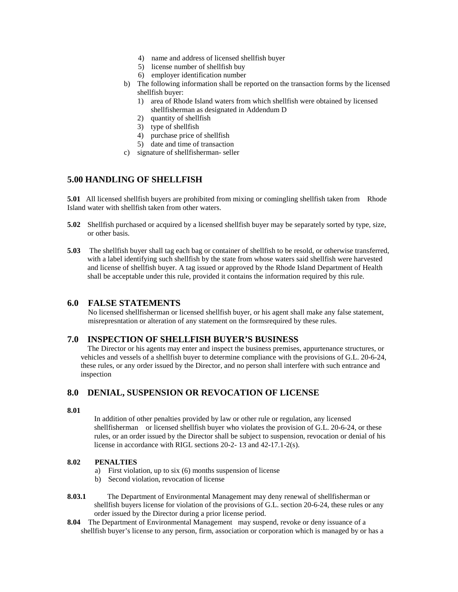- 4) name and address of licensed shellfish buyer
- 5) license number of shellfish buy
- 6) employer identification number
- b) The following information shall be reported on the transaction forms by the licensed shellfish buyer:
	- 1) area of Rhode Island waters from which shellfish were obtained by licensed shellfisherman as designated in Addendum D
	- 2) quantity of shellfish
	- 3) type of shellfish
	- 4) purchase price of shellfish
	- 5) date and time of transaction
- c) signature of shellfisherman- seller

# **5.00 HANDLING OF SHELLFISH**

**5.01** All licensed shellfish buyers are prohibited from mixing or comingling shellfish taken from Rhode Island water with shellfish taken from other waters.

- **5.02** Shellfish purchased or acquired by a licensed shellfish buyer may be separately sorted by type, size, or other basis.
- **5.03** The shellfish buyer shall tag each bag or container of shellfish to be resold, or otherwise transferred, with a label identifying such shellfish by the state from whose waters said shellfish were harvested and license of shellfish buyer. A tag issued or approved by the Rhode Island Department of Health shall be acceptable under this rule, provided it contains the information required by this rule.

# **6.0 FALSE STATEMENTS**

No licensed shellfisherman or licensed shellfish buyer, or his agent shall make any false statement, misrepresntation or alteration of any statement on the formsrequired by these rules.

# **7.0 INSPECTION OF SHELLFISH BUYER'S BUSINESS**

The Director or his agents may enter and inspect the business premises, appurtenance structures, or vehicles and vessels of a shellfish buyer to determine compliance with the provisions of G.L. 20-6-24, these rules, or any order issued by the Director, and no person shall interfere with such entrance and inspection

# **8.0 DENIAL, SUSPENSION OR REVOCATION OF LICENSE**

#### **8.01**

In addition of other penalties provided by law or other rule or regulation, any licensed shellfisherman or licensed shellfish buyer who violates the provision of G.L. 20-6-24, or these rules, or an order issued by the Director shall be subject to suspension, revocation or denial of his license in accordance with RIGL sections 20-2- 13 and 42-17.1-2(s).

#### **8.02 PENALTIES**

- a) First violation, up to six (6) months suspension of license
- b) Second violation, revocation of license
- **8.03.1** The Department of Environmental Management may deny renewal of shellfisherman or shellfish buyers license for violation of the provisions of G.L. section 20-6-24, these rules or any order issued by the Director during a prior license period.
- **8.04** The Department of Environmental Management may suspend, revoke or deny issuance of a shellfish buyer's license to any person, firm, association or corporation which is managed by or has a